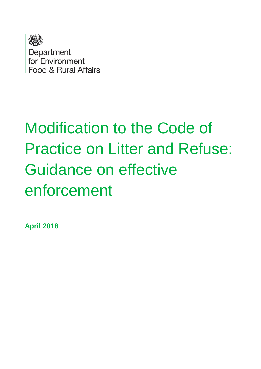

# Modification to the Code of Practice on Litter and Refuse: Guidance on effective enforcement

**April 2018**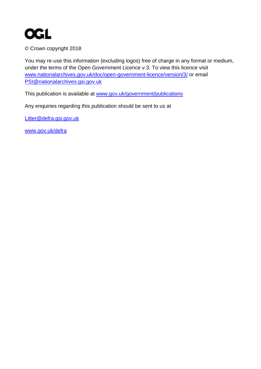

© Crown copyright 2018

You may re-use this information (excluding logos) free of charge in any format or medium, under the terms of the Open Government Licence v.3. To view this licence visit [www.nationalarchives.gov.uk/doc/open-government-licence/version/3/](http://www.nationalarchives.gov.uk/doc/open-government-licence/version/3/) or email [PSI@nationalarchives.gsi.gov.uk](mailto:PSI@nationalarchives.gsi.gov.uk) 

This publication is available at [www.gov.uk/government/publications](http://www.gov.uk/government/publications) 

Any enquiries regarding this publication should be sent to us at

[Litter@defra.gsi.gov.uk](mailto:Litter@defra.gsi.gov.uk)

[www.gov.uk/defra](http://www.gov.uk/defra)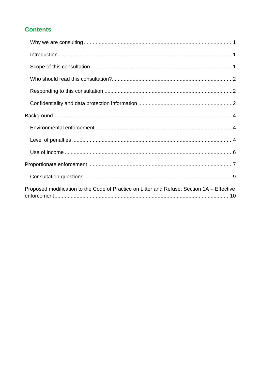#### **Contents**

| Proposed modification to the Code of Practice on Litter and Refuse: Section 1A – Effective |
|--------------------------------------------------------------------------------------------|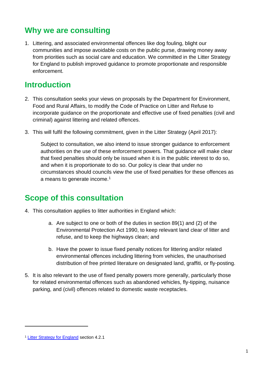# <span id="page-3-0"></span>**Why we are consulting**

1. Littering, and associated environmental offences like dog fouling, blight our communities and impose avoidable costs on the public purse, drawing money away from priorities such as social care and education. We committed in the Litter Strategy for England to publish improved guidance to promote proportionate and responsible enforcement.

# <span id="page-3-1"></span>**Introduction**

- 2. This consultation seeks your views on proposals by the Department for Environment, Food and Rural Affairs, to modify the Code of Practice on Litter and Refuse to incorporate guidance on the proportionate and effective use of fixed penalties (civil and criminal) against littering and related offences.
- 3. This will fulfil the following commitment, given in the Litter Strategy (April 2017):

Subject to consultation, we also intend to issue stronger guidance to enforcement authorities on the use of these enforcement powers. That guidance will make clear that fixed penalties should only be issued when it is in the public interest to do so, and when it is proportionate to do so. Our policy is clear that under no circumstances should councils view the use of fixed penalties for these offences as a means to generate income.<sup>1</sup>

# <span id="page-3-2"></span>**Scope of this consultation**

- 4. This consultation applies to litter authorities in England which:
	- a. Are subject to one or both of the duties in section 89(1) and (2) of the Environmental Protection Act 1990, to keep relevant land clear of litter and refuse, and to keep the highways clean; and
	- b. Have the power to issue fixed penalty notices for littering and/or related environmental offences including littering from vehicles, the unauthorised distribution of free printed literature on designated land, graffiti, or fly-posting.
- 5. It is also relevant to the use of fixed penalty powers more generally, particularly those for related environmental offences such as abandoned vehicles, fly-tipping, nuisance parking, and (civil) offences related to domestic waste receptacles.

<sup>1</sup> [Litter Strategy for England](https://www.gov.uk/government/uploads/system/uploads/attachment_data/file/630999/litter-strategy-for-england-2017-v2.pdf) section 4.2.1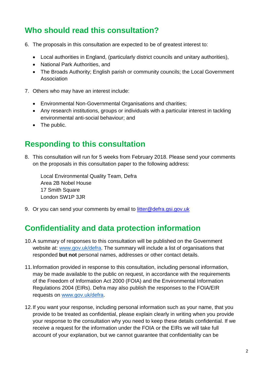# <span id="page-4-0"></span>**Who should read this consultation?**

- 6. The proposals in this consultation are expected to be of greatest interest to:
	- Local authorities in England, (particularly district councils and unitary authorities),
	- National Park Authorities, and
	- The Broads Authority; English parish or community councils; the Local Government Association
- 7. Others who may have an interest include:
	- Environmental Non-Governmental Organisations and charities;
	- Any research institutions, groups or individuals with a particular interest in tackling environmental anti-social behaviour; and
	- The public.

### <span id="page-4-1"></span>**Responding to this consultation**

8. This consultation will run for 5 weeks from February 2018. Please send your comments on the proposals in this consultation paper to the following address:

Local Environmental Quality Team, Defra Area 2B Nobel House 17 Smith Square London SW1P 3JR

9. Or you can send your comments by email to [litter@defra.gsi.gov.uk](mailto:litter@defra.gsi.gov.uk)

# <span id="page-4-2"></span>**Confidentiality and data protection information**

- 10.A summary of responses to this consultation will be published on the Government website at: [www.gov.uk/defra](http://www.gov.uk/defra). The summary will include a list of organisations that responded **but not** personal names, addresses or other contact details.
- 11.Information provided in response to this consultation, including personal information, may be made available to the public on request, in accordance with the requirements of the Freedom of Information Act 2000 (FOIA) and the Environmental Information Regulations 2004 (EIRs). Defra may also publish the responses to the FOIA/EIR requests on [www.gov.uk/defra](http://www.gov.uk/defra).
- 12.If you want your response, including personal information such as your name, that you provide to be treated as confidential, please explain clearly in writing when you provide your response to the consultation why you need to keep these details confidential. If we receive a request for the information under the FOIA or the EIRs we will take full account of your explanation, but we cannot guarantee that confidentiality can be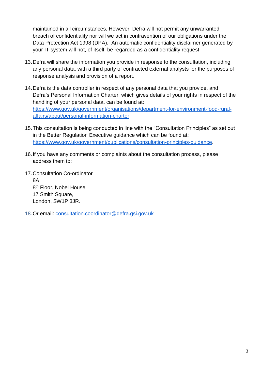maintained in all circumstances. However, Defra will not permit any unwarranted breach of confidentiality nor will we act in contravention of our obligations under the Data Protection Act 1998 (DPA). An automatic confidentiality disclaimer generated by your IT system will not, of itself, be regarded as a confidentiality request.

- 13.Defra will share the information you provide in response to the consultation, including any personal data, with a third party of contracted external analysts for the purposes of response analysis and provision of a report.
- 14.Defra is the data controller in respect of any personal data that you provide, and Defra's Personal Information Charter, which gives details of your rights in respect of the handling of your personal data, can be found at: [https://www.gov.uk/government/organisations/department-for-environment-food-rural](https://www.gov.uk/government/organisations/department-for-environment-food-rural-affairs/about/personal-information-charter)[affairs/about/personal-information-charter](https://www.gov.uk/government/organisations/department-for-environment-food-rural-affairs/about/personal-information-charter).
- 15.This consultation is being conducted in line with the "Consultation Principles" as set out in the Better Regulation Executive guidance which can be found at: <https://www.gov.uk/government/publications/consultation-principles-guidance>.
- 16.If you have any comments or complaints about the consultation process, please address them to:
- 17.Consultation Co-ordinator 8A 8<sup>th</sup> Floor, Nobel House 17 Smith Square, London, SW1P 3JR.
- 18.Or email: [consultation.coordinator@defra.gsi.gov.uk](mailto:consultation.coordinator@defra.gsi.gov.uk)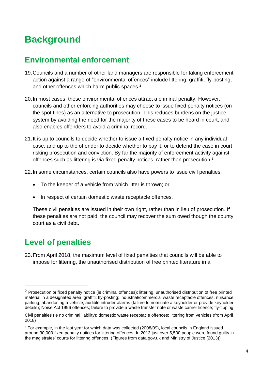# <span id="page-6-0"></span>**Background**

# <span id="page-6-1"></span>**Environmental enforcement**

- 19.Councils and a number of other land managers are responsible for taking enforcement action against a range of "environmental offences" include littering, graffiti, fly-posting, and other offences which harm public spaces.<sup>2</sup>
- 20.In most cases, these environmental offences attract a criminal penalty. However, councils and other enforcing authorities may choose to issue fixed penalty notices (on the spot fines) as an alternative to prosecution. This reduces burdens on the justice system by avoiding the need for the majority of these cases to be heard in court, and also enables offenders to avoid a criminal record.
- 21.It is up to councils to decide whether to issue a fixed penalty notice in any individual case, and up to the offender to decide whether to pay it, or to defend the case in court risking prosecution and conviction. By far the majority of enforcement activity against offences such as littering is via fixed penalty notices, rather than prosecution.<sup>3</sup>
- 22.In some circumstances, certain councils also have powers to issue civil penalties:
	- To the keeper of a vehicle from which litter is thrown; or
	- In respect of certain domestic waste receptacle offences.

These civil penalties are issued in their own right, rather than in lieu of prosecution. If these penalties are not paid, the council may recover the sum owed though the county court as a civil debt.

# <span id="page-6-2"></span>**Level of penalties**

1

23.From April 2018, the maximum level of fixed penalties that councils will be able to impose for littering, the unauthorised distribution of free printed literature in a

<sup>&</sup>lt;sup>2</sup> Prosecution or fixed penalty notice (ie criminal offences): littering; unauthorised distribution of free printed material in a designated area; graffiti; fly-posting; industrial/commercial waste receptacle offences, nuisance parking; abandoning a vehicle; audible intruder alarms (failure to nominate a keyholder or provide keyholder details); Noise Act 1996 offences; failure to provide a waste transfer note or waste carrier licence; fly-tipping.

Civil penalties (ie no criminal liability): domestic waste receptacle offences; littering from vehicles (from April 2018)

<sup>&</sup>lt;sup>3</sup> For example, in the last year for which data was collected (2008/09), local councils in England issued around 30,000 fixed penalty notices for littering offences. In 2013 just over 5,500 people were found guilty in the magistrates' courts for littering offences. (Figures from data.gov.uk and Ministry of Justice (2013))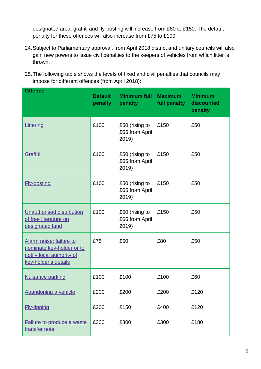designated area, graffiti and fly-posting will increase from £80 to £150. The default penalty for these offences will also increase from £75 to £100.

- 24.Subject to Parliamentary approval, from April 2018 district and unitary councils will also gain new powers to issue civil penalties to the keepers of vehicles from which litter is thrown.
- 25.The following table shows the levels of fixed and civil penalties that councils may impose for different offences (from April 2018):

| <b>Offence</b>                                                                                            | <b>Default</b><br>penalty | <b>Minimum full Maximum</b><br>penalty    | full penalty | <b>Minimum</b><br>discounted<br>penalty |
|-----------------------------------------------------------------------------------------------------------|---------------------------|-------------------------------------------|--------------|-----------------------------------------|
| Littering                                                                                                 | £100                      | £50 (rising to<br>£65 from April<br>2019) | £150         | £50                                     |
| Graffiti                                                                                                  | £100                      | £50 (rising to<br>£65 from April<br>2019) | £150         | £50                                     |
| <b>Fly-posting</b>                                                                                        | £100                      | £50 (rising to<br>£65 from April<br>2019) | £150         | £50                                     |
| <b>Unauthorised distribution</b><br>of free literature on<br>designated land                              | £100                      | £50 (rising to<br>£65 from April<br>2019) | £150         | £50                                     |
| Alarm noise: failure to<br>nominate key-holder or to<br>notify local authority of<br>key-holder's details | £75                       | £50                                       | £80          | £50                                     |
| <b>Nuisance parking</b>                                                                                   | £100                      | £100                                      | £100         | £60                                     |
| Abandoning a vehicle                                                                                      | £200                      | £200                                      | £200         | £120                                    |
| <b>Fly-tipping</b>                                                                                        | £200                      | £150                                      | £400         | £120                                    |
| Failure to produce a waste<br>transfer note                                                               | £300                      | £300                                      | £300         | £180                                    |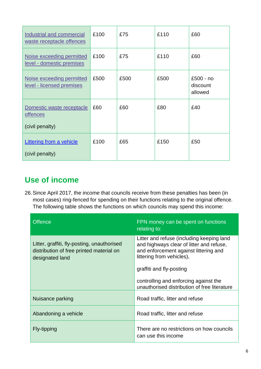| Industrial and commercial<br>waste receptacle offences          | £100 | £75  | £110 | £60                              |
|-----------------------------------------------------------------|------|------|------|----------------------------------|
| Noise exceeding permitted<br>level - domestic premises          | £100 | £75  | £110 | £60                              |
| Noise exceeding permitted<br>level - licensed premises          | £500 | £500 | £500 | £500 - no<br>discount<br>allowed |
| Domestic waste receptacle<br><u>offences</u><br>(civil penalty) | £60  | £60  | £80  | £40                              |
| <b>Littering from a vehicle</b><br>(civil penalty)              | £100 | £65  | £150 | £50                              |

# <span id="page-8-0"></span>**Use of income**

26.Since April 2017, the income that councils receive from these penalties has been (in most cases) ring-fenced for spending on their functions relating to the original offence. The following table shows the functions on which councils may spend this income:

| <b>Offence</b>                                                                                             | FPN money can be spent on functions<br>relating to:                                                                                                                                     |
|------------------------------------------------------------------------------------------------------------|-----------------------------------------------------------------------------------------------------------------------------------------------------------------------------------------|
| Litter, graffiti, fly-posting, unauthorised<br>distribution of free printed material on<br>designated land | Litter and refuse (including keeping land<br>and highways clear of litter and refuse,<br>and enforcement against littering and<br>littering from vehicles),<br>graffiti and fly-posting |
|                                                                                                            |                                                                                                                                                                                         |
|                                                                                                            | controlling and enforcing against the<br>unauthorised distribution of free literature                                                                                                   |
| Nuisance parking                                                                                           | Road traffic, litter and refuse                                                                                                                                                         |
| Abandoning a vehicle                                                                                       | Road traffic, litter and refuse                                                                                                                                                         |
| Fly-tipping                                                                                                | There are no restrictions on how councils<br>can use this income                                                                                                                        |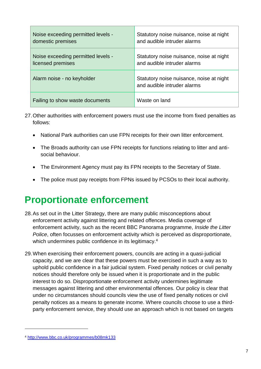| Noise exceeding permitted levels - | Statutory noise nuisance, noise at night                                |
|------------------------------------|-------------------------------------------------------------------------|
| domestic premises                  | and audible intruder alarms                                             |
| Noise exceeding permitted levels - | Statutory noise nuisance, noise at night                                |
| licensed premises                  | and audible intruder alarms                                             |
| Alarm noise - no keyholder         | Statutory noise nuisance, noise at night<br>and audible intruder alarms |
| Failing to show waste documents    | Waste on land                                                           |

- 27.Other authorities with enforcement powers must use the income from fixed penalties as follows:
	- National Park authorities can use FPN receipts for their own litter enforcement.
	- The Broads authority can use FPN receipts for functions relating to litter and antisocial behaviour.
	- The Environment Agency must pay its FPN receipts to the Secretary of State.
	- The police must pay receipts from FPNs issued by PCSOs to their local authority.

# <span id="page-9-0"></span>**Proportionate enforcement**

- 28.As set out in the Litter Strategy, there are many public misconceptions about enforcement activity against littering and related offences. Media coverage of enforcement activity, such as the recent BBC Panorama programme, *Inside the Litter Police*, often focusses on enforcement activity which is perceived as disproportionate, which undermines public confidence in its legitimacy.<sup>4</sup>
- 29.When exercising their enforcement powers, councils are acting in a quasi-judicial capacity, and we are clear that these powers must be exercised in such a way as to uphold public confidence in a fair judicial system. Fixed penalty notices or civil penalty notices should therefore only be issued when it is proportionate and in the public interest to do so. Disproportionate enforcement activity undermines legitimate messages against littering and other environmental offences. Our policy is clear that under no circumstances should councils view the use of fixed penalty notices or civil penalty notices as a means to generate income. Where councils choose to use a thirdparty enforcement service, they should use an approach which is not based on targets

<sup>4</sup> <http://www.bbc.co.uk/programmes/b08mk133>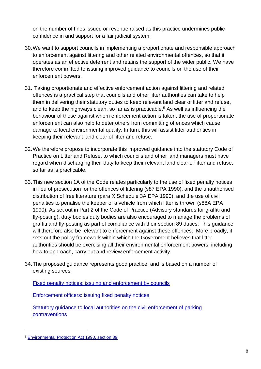on the number of fines issued or revenue raised as this practice undermines public confidence in and support for a fair judicial system.

- 30.We want to support councils in implementing a proportionate and responsible approach to enforcement against littering and other related environmental offences, so that it operates as an effective deterrent and retains the support of the wider public. We have therefore committed to issuing improved guidance to councils on the use of their enforcement powers.
- 31. Taking proportionate and effective enforcement action against littering and related offences is a practical step that councils and other litter authorities can take to help them in delivering their statutory duties to keep relevant land clear of litter and refuse, and to keep the highways clean, so far as is practicable. <sup>5</sup> As well as influencing the behaviour of those against whom enforcement action is taken, the use of proportionate enforcement can also help to deter others from committing offences which cause damage to local environmental quality. In turn, this will assist litter authorities in keeping their relevant land clear of litter and refuse.
- 32.We therefore propose to incorporate this improved guidance into the statutory Code of Practice on Litter and Refuse, to which councils and other land managers must have regard when discharging their duty to keep their relevant land clear of litter and refuse, so far as is practicable.
- 33.This new section 1A of the Code relates particularly to the use of fixed penalty notices in lieu of prosecution for the offences of littering (s87 EPA 1990), and the unauthorised distribution of free literature (para X Schedule 3A EPA 1990), and the use of civil penalties to penalise the keeper of a vehicle from which litter is thrown (s88A EPA 1990). As set out in Part 2 of the Code of Practice (Advisory standards for graffiti and fly-posting), duty bodies duty bodies are also encouraged to manage the problems of graffiti and fly-posting as part of compliance with their section 89 duties. This guidance will therefore also be relevant to enforcement against these offences. More broadly, it sets out the policy framework within which the Government believes that litter authorities should be exercising all their environmental enforcement powers, including how to approach, carry out and review enforcement activity.
- 34.The proposed guidance represents good practice, and is based on a number of existing sources:

[Fixed penalty notices: issuing and enforcement by councils](https://www.gov.uk/guidance/fixed-penalty-notices-issuing-and-enforcement-by-councils)

[Enforcement officers: issuing fixed penalty notices](https://www.gov.uk/guidance/enforcement-officers-issuing-fixed-penalty-notices)

[Statutory guidance to local authorities on the civil enforcement of parking](https://www.gov.uk/government/publications/civil-enforcement-of-parking-contraventions)  [contraventions](https://www.gov.uk/government/publications/civil-enforcement-of-parking-contraventions)

<sup>5</sup> [Environmental Protection Act 1990, section 89](http://www.legislation.gov.uk/ukpga/1990/43/section/89)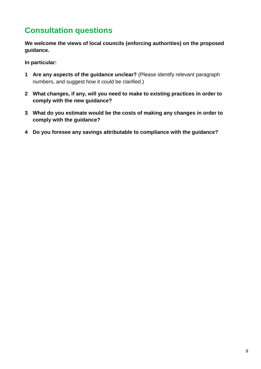# <span id="page-11-0"></span>**Consultation questions**

**We welcome the views of local councils (enforcing authorities) on the proposed guidance.** 

**In particular:**

- **1 Are any aspects of the guidance unclear?** (Please identify relevant paragraph numbers, and suggest how it could be clarified.)
- **2 What changes, if any, will you need to make to existing practices in order to comply with the new guidance?**
- **3 What do you estimate would be the costs of making any changes in order to comply with the guidance?**
- **4 Do you foresee any savings attributable to compliance with the guidance?**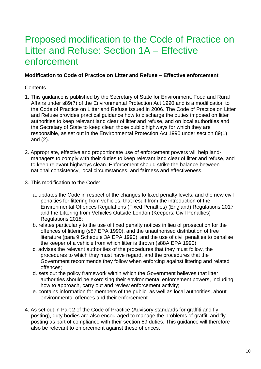# <span id="page-12-0"></span>Proposed modification to the Code of Practice on Litter and Refuse: Section 1A – Effective enforcement

#### **Modification to Code of Practice on Litter and Refuse – Effective enforcement**

#### **Contents**

- 1. This guidance is published by the Secretary of State for Environment, Food and Rural Affairs under s89(7) of the Environmental Protection Act 1990 and is a modification to the Code of Practice on Litter and Refuse issued in 2006. The Code of Practice on Litter and Refuse provides practical guidance how to discharge the duties imposed on litter authorities to keep relevant land clear of litter and refuse, and on local authorities and the Secretary of State to keep clean those public highways for which they are responsible, as set out in the Environmental Protection Act 1990 under section 89(1) and (2).
- 2. Appropriate, effective and proportionate use of enforcement powers will help landmanagers to comply with their duties to keep relevant land clear of litter and refuse, and to keep relevant highways clean. Enforcement should strike the balance between national consistency, local circumstances, and fairness and effectiveness.
- 3. This modification to the Code:
	- a. updates the Code in respect of the changes to fixed penalty levels, and the new civil penalties for littering from vehicles, that result from the introduction of the Environmental Offences Regulations (Fixed Penalties) (England) Regulations 2017 and the Littering from Vehicles Outside London (Keepers: Civil Penalties) Regulations 2018;
	- b. relates particularly to the use of fixed penalty notices in lieu of prosecution for the offences of littering (s87 EPA 1990), and the unauthorised distribution of free literature (para 9 Schedule 3A EPA 1990), and the use of civil penalties to penalise the keeper of a vehicle from which litter is thrown (s88A EPA 1990);
	- c. advises the relevant authorities of the procedures that they must follow, the procedures to which they must have regard, and the procedures that the Government recommends they follow when enforcing against littering and related offences;
	- d. sets out the policy framework within which the Government believes that litter authorities should be exercising their environmental enforcement powers, including how to approach, carry out and review enforcement activity;
	- e. contains information for members of the public, as well as local authorities, about environmental offences and their enforcement.
- 4. As set out in Part 2 of the Code of Practice (Advisory standards for graffiti and flyposting), duty bodies are also encouraged to manage the problems of graffiti and flyposting as part of compliance with their section 89 duties. This guidance will therefore also be relevant to enforcement against these offences.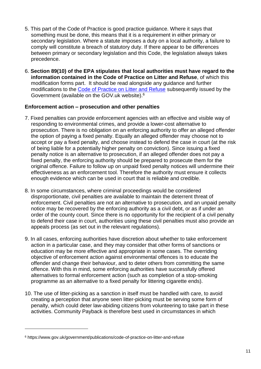- 5. This part of the Code of Practice is good practice guidance. Where it says that something must be done, this means that it is a requirement in either primary or secondary legislation. Where a statute imposes a duty on a local authority, a failure to comply will constitute a breach of statutory duty. If there appear to be differences between primary or secondary legislation and this Code, the legislation always takes precedence.
- 6. **Section 89(10) of the EPA stipulates that local authorities must have regard to the information contained in the Code of Practice on Litter and Refuse**, of which this modification forms part. It should be read alongside any guidance and further modifications to the [Code of Practice on Litter and Refuse](https://www.gov.uk/government/publications/code-of-practice-on-litter-and-refuse) subsequently issued by the Government (available on the GOV.uk website).<sup>6</sup>

#### **Enforcement action – prosecution and other penalties**

- 7. Fixed penalties can provide enforcement agencies with an effective and visible way of responding to environmental crimes, and provide a lower-cost alternative to prosecution. There is no obligation on an enforcing authority to offer an alleged offender the option of paying a fixed penalty. Equally an alleged offender may choose not to accept or pay a fixed penalty, and choose instead to defend the case in court (at the risk of being liable for a potentially higher penalty on conviction). Since issuing a fixed penalty notice is an alternative to prosecution, if an alleged offender does not pay a fixed penalty, the enforcing authority should be prepared to prosecute them for the original offence. Failure to follow up on unpaid fixed penalty notices will undermine their effectiveness as an enforcement tool. Therefore the authority must ensure it collects enough evidence which can be used in court that is reliable and credible.
- 8. In some circumstances, where criminal proceedings would be considered disproportionate, civil penalties are available to maintain the deterrent threat of enforcement. Civil penalties are not an alternative to prosecution, and an unpaid penalty notice may be recovered by the enforcing authority as a civil debt, or as if under an order of the county court. Since there is no opportunity for the recipient of a civil penalty to defend their case in court, authorities using these civil penalties must also provide an appeals process (as set out in the relevant regulations).
- 9. In all cases, enforcing authorities have discretion about whether to take enforcement action in a particular case, and they may consider that other forms of sanctions or education may be more effective and appropriate in some cases. The overriding objective of enforcement action against environmental offences is to educate the offender and change their behaviour, and to deter others from committing the same offence. With this in mind, some enforcing authorities have successfully offered alternatives to formal enforcement action (such as completion of a stop-smoking programme as an alternative to a fixed penalty for littering cigarette ends).
- 10. The use of litter-picking as a sanction in itself must be handled with care, to avoid creating a perception that anyone seen litter-picking must be serving some form of penalty, which could deter law-abiding citizens from volunteering to take part in these activities. Community Payback is therefore best used in circumstances in which

<sup>6</sup> https://www.gov.uk/government/publications/code-of-practice-on-litter-and-refuse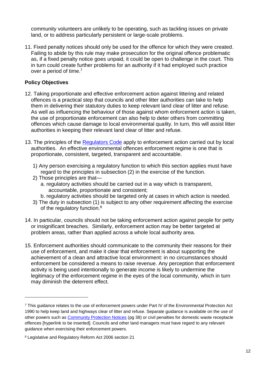community volunteers are unlikely to be operating, such as tackling issues on private land, or to address particularly persistent or large-scale problems.

11. Fixed penalty notices should only be used for the offence for which they were created. Failing to abide by this rule may make prosecution for the original offence problematic as, if a fixed penalty notice goes unpaid, it could be open to challenge in the court. This in turn could create further problems for an authority if it had employed such practice over a period of time.<sup>7</sup>

#### **Policy Objectives**

- 12. Taking proportionate and effective enforcement action against littering and related offences is a practical step that councils and other litter authorities can take to help them in delivering their statutory duties to keep relevant land clear of litter and refuse. As well as influencing the behaviour of those against whom enforcement action is taken, the use of proportionate enforcement can also help to deter others from committing offences which cause damage to local environmental quality. In turn, this will assist litter authorities in keeping their relevant land clear of litter and refuse.
- 13. The principles of the [Regulators Code](https://www.gov.uk/government/publications/regulators-code) apply to enforcement action carried out by local authorities. An effective environmental offences enforcement regime is one that is proportionate, consistent, targeted, transparent and accountable.
	- 1) Any person exercising a regulatory function to which this section applies must have regard to the principles in subsection (2) in the exercise of the function.
	- 2) Those principles are that
		- a. regulatory activities should be carried out in a way which is transparent, accountable, proportionate and consistent;
		- b. regulatory activities should be targeted only at cases in which action is needed.
	- 3) The duty in subsection (1) is subject to any other requirement affecting the exercise of the regulatory function.<sup>8</sup>
- 14. In particular, councils should not be taking enforcement action against people for petty or insignificant breaches. Similarly, enforcement action may be better targeted at problem areas, rather than applied across a whole local authority area.
- 15. Enforcement authorities should communicate to the community their reasons for their use of enforcement, and make it clear that enforcement is about supporting the achievement of a clean and attractive local environment: in no circumstances should enforcement be considered a means to raise revenue. Any perception that enforcement activity is being used intentionally to generate income is likely to undermine the legitimacy of the enforcement regime in the eyes of the local community, which in turn may diminish the deterrent effect.

<sup>7</sup> This guidance relates to the use of enforcement powers under Part IV of the Environmental Protection Act 1990 to help keep land and highways clear of litter and refuse. Separate guidance is available on the use of other powers such as [Community Protection Notices](https://www.gov.uk/government/news/new-guidance-on-the-use-of-the-anti-social-behaviour-crime-and-policing-act-2014) (pg 38) or civil penalties for domestic waste receptacle offences [hyperlink to be inserted]. Councils and other land managers must have regard to any relevant guidance when exercising their enforcement powers.

<sup>8</sup> Legislative and Regulatory Reform Act 2006 section 21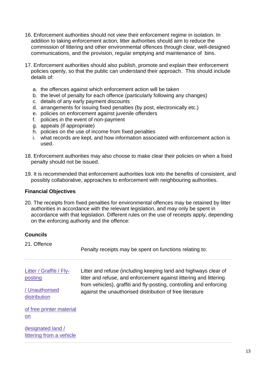- 16. Enforcement authorities should not view their enforcement regime in isolation. In addition to taking enforcement action, litter authorities should aim to reduce the commission of littering and other environmental offences through clear, well-designed communications, and the provision, regular emptying and maintenance of bins.
- 17. Enforcement authorities should also publish, promote and explain their enforcement policies openly, so that the public can understand their approach. This should include details of:
	- a. the offences against which enforcement action will be taken
	- b. the level of penalty for each offence (particularly following any changes)
	- c. details of any early payment discounts
	- d. arrangements for issuing fixed penalties (by post, electronically etc.)
	- e. policies on enforcement against juvenile offenders
	- f. policies in the event of non-payment
	- g. appeals (if appropriate)
	- h. policies on the use of income from fixed penalties
	- i. what records are kept, and how information associated with enforcement action is used.
- 18. Enforcement authorities may also choose to make clear their policies on when a fixed penalty should not be issued.
- 19. It is recommended that enforcement authorities look into the benefits of consistent, and possibly collaborative, approaches to enforcement with neighbouring authorities.

#### **Financial Objectives**

20. The receipts from fixed penalties for environmental offences may be retained by litter authorities in accordance with the relevant legislation, and may only be spent in accordance with that legislation. Different rules on the use of receipts apply, depending on the enforcing authority and the offence:

#### **Councils**

21. Offence

Penalty receipts may be spent on functions relating to:

[Litter](http://www.legislation.gov.uk/ukpga/2005/16/section/96) / Graffiti / Flyposting / Unauthorised Litter and refuse (including keeping land and highways clear of litter and refuse, and enforcement against littering and littering from vehicles), graffiti and fly-posting, controlling and enforcing against the unauthorised distribution of free literature

distribution

of free printer material on

designated land / littering from a vehicle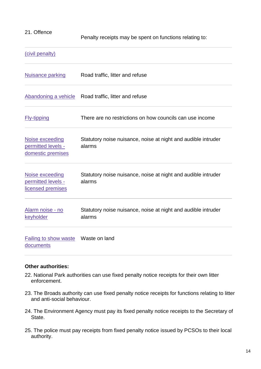#### 21. Offence

Penalty receipts may be spent on functions relating to:

#### (civil penalty)

| <b>Nuisance parking</b>                                    | Road traffic, litter and refuse                                         |
|------------------------------------------------------------|-------------------------------------------------------------------------|
| Abandoning a vehicle                                       | Road traffic, litter and refuse                                         |
| <b>Fly-tipping</b>                                         | There are no restrictions on how councils can use income                |
| Noise exceeding<br>permitted levels -<br>domestic premises | Statutory noise nuisance, noise at night and audible intruder<br>alarms |
| Noise exceeding<br>permitted levels -<br>licensed premises | Statutory noise nuisance, noise at night and audible intruder<br>alarms |
| Alarm noise - no<br>keyholder                              | Statutory noise nuisance, noise at night and audible intruder<br>alarms |
| <b>Failing to show waste</b><br>documents                  | Waste on land                                                           |

#### **Other authorities:**

- 22. National Park authorities can use fixed penalty notice receipts for their own litter enforcement.
- 23. The Broads authority can use fixed penalty notice receipts for functions relating to litter and anti-social behaviour.
- 24. The Environment Agency must pay its fixed penalty notice receipts to the Secretary of State.
- 25. The police must pay receipts from fixed penalty notice issued by PCSOs to their local authority.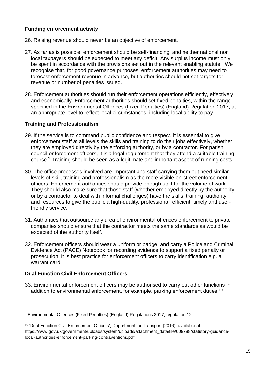#### **Funding enforcement activity**

- 26. Raising revenue should never be an objective of enforcement.
- 27. As far as is possible, enforcement should be self-financing, and neither national nor local taxpayers should be expected to meet any deficit. Any surplus income must only be spent in accordance with the provisions set out in the relevant enabling statute. We recognise that, for good governance purposes, enforcement authorities may need to forecast enforcement revenue in advance, but authorities should not set targets for revenue or number of penalties issued.
- 28. Enforcement authorities should run their enforcement operations efficiently, effectively and economically. Enforcement authorities should set fixed penalties, within the range specified in the Environmental Offences (Fixed Penalties) (England) Regulation 2017, at an appropriate level to reflect local circumstances, including local ability to pay.

#### **Training and Professionalism**

- 29. If the service is to command public confidence and respect, it is essential to give enforcement staff at all levels the skills and training to do their jobs effectively, whether they are employed directly by the enforcing authority, or by a contractor. For parish council enforcement officers, it is a legal requirement that they attend a suitable training course.<sup>9</sup> Training should be seen as a legitimate and important aspect of running costs.
- 30. The office processes involved are important and staff carrying them out need similar levels of skill, training and professionalism as the more visible on-street enforcement officers. Enforcement authorities should provide enough staff for the volume of work. They should also make sure that those staff (whether employed directly by the authority or by a contractor to deal with informal challenges) have the skills, training, authority and resources to give the public a high-quality, professional, efficient, timely and userfriendly service.
- 31. Authorities that outsource any area of environmental offences enforcement to private companies should ensure that the contractor meets the same standards as would be expected of the authority itself.
- 32. Enforcement officers should wear a uniform or badge, and carry a Police and Criminal Evidence Act (PACE) Notebook for recording evidence to support a fixed penalty or prosecution. It is best practice for enforcement officers to carry identification e.g. a warrant card.

#### **Dual Function Civil Enforcement Officers**

1

33. Environmental enforcement officers may be authorised to carry out other functions in addition to environmental enforcement, for example, parking enforcement duties.<sup>10</sup>

<sup>9</sup> Environmental Offences (Fixed Penalties) (England) Regulations 2017, regulation 12

<sup>&</sup>lt;sup>10</sup> 'Dual Function Civil Enforcement Officers', Department for Transport (2016), available at https://www.gov.uk/government/uploads/system/uploads/attachment\_data/file/609788/statutory-guidancelocal-authorities-enforcement-parking-contraventions.pdf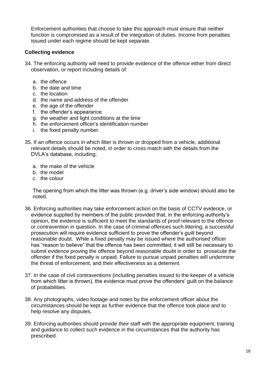Enforcement authorities that choose to take this approach must ensure that neither function is compromised as a result of the integration of duties. Income from penalties issued under each regime should be kept separate.

#### **Collecting evidence**

- 34. The enforcing authority will need to provide evidence of the offence either from direct observation, or report including details of:
	- a. the offence
	- b. the date and time
	- c. the location
	- d. the name and address of the offender
	- e. the age of the offender
	- f. the offender's appearance
	- g. the weather and light conditions at the time
	- h. the enforcement officer's identification number
	- i. the fixed penalty number.
- 35. If an offence occurs in which litter is thrown or dropped from a vehicle, additional relevant details should be noted, in order to cross match with the details from the DVLA's database, including;
	- a. the make of the vehicle
	- b. the model
	- c. the colour

The opening from which the litter was thrown (e.g. driver's side window) should also be noted.

- 36. Enforcing authorities may take enforcement action on the basis of CCTV evidence, or evidence supplied by members of the public provided that, in the enforcing authority's opinion, the evidence is sufficient to meet the standards of proof relevant to the offence or contravention in question. In the case of criminal offences such littering, a successful prosecution will require evidence sufficient to prove the offender's guilt beyond reasonable doubt. While a fixed penalty may be issued where the authorised officer has "reason to believe" that the offence has been committed, it will still be necessary to submit evidence proving the offence beyond reasonable doubt in order to prosecute the offender if the fixed penalty is unpaid. Failure to pursue unpaid penalties will undermine the threat of enforcement, and their effectiveness as a deterrent.
- 37. In the case of civil contraventions (including penalties issued to the keeper of a vehicle from which litter is thrown), the evidence must prove the offenders' guilt on the balance of probabilities.
- 38. Any photographs, video footage and notes by the enforcement officer about the circumstances should be kept as further evidence that the offence took place and to help resolve any disputes.
- 39. Enforcing authorities should provide their staff with the appropriate equipment, training and guidance to collect such evidence in the circumstances that the authority has prescribed.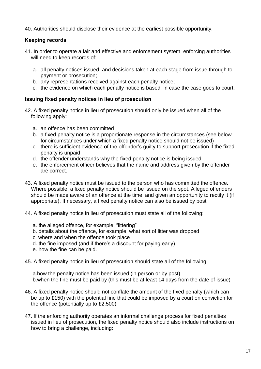40. Authorities should disclose their evidence at the earliest possible opportunity.

#### **Keeping records**

- 41. In order to operate a fair and effective and enforcement system, enforcing authorities will need to keep records of:
	- a. all penalty notices issued, and decisions taken at each stage from issue through to payment or prosecution;
	- b. any representations received against each penalty notice;
	- c. the evidence on which each penalty notice is based, in case the case goes to court.

#### **Issuing fixed penalty notices in lieu of prosecution**

- 42. A fixed penalty notice in lieu of prosecution should only be issued when all of the following apply:
	- a. an offence has been committed
	- b. a fixed penalty notice is a proportionate response in the circumstances (see below for circumstances under which a fixed penalty notice should not be issued)
	- c. there is sufficient evidence of the offender's guilty to support prosecution if the fixed penalty is unpaid
	- d. the offender understands why the fixed penalty notice is being issued
	- e. the enforcement officer believes that the name and address given by the offender are correct.
- 43. A fixed penalty notice must be issued to the person who has committed the offence. Where possible, a fixed penalty notice should be issued on the spot. Alleged offenders should be made aware of an offence at the time, and given an opportunity to rectify it (if appropriate). If necessary, a fixed penalty notice can also be issued by post.
- 44. A fixed penalty notice in lieu of prosecution must state all of the following:
	- a. the alleged offence, for example, "littering"
	- b. details about the offence, for example, what sort of litter was dropped
	- c. where and when the offence took place
	- d. the fine imposed (and if there's a discount for paying early)
	- e. how the fine can be paid.
- 45. A fixed penalty notice in lieu of prosecution should state all of the following:

a.how the penalty notice has been issued (in person or by post) b.when the fine must be paid by (this must be at least 14 days from the date of issue)

- 46. A fixed penalty notice should not conflate the amount of the fixed penalty (which can be up to £150) with the potential fine that could be imposed by a court on conviction for the offence (potentially up to £2,500).
- 47. If the enforcing authority operates an informal challenge process for fixed penalties issued in lieu of prosecution, the fixed penalty notice should also include instructions on how to bring a challenge, including: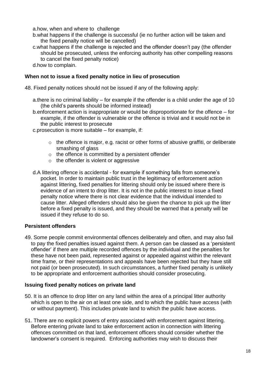- a.how, when and where to challenge
- b.what happens if the challenge is successful (ie no further action will be taken and the fixed penalty notice will be cancelled)
- c.what happens if the challenge is rejected and the offender doesn't pay (the offender should be prosecuted, unless the enforcing authority has other compelling reasons to cancel the fixed penalty notice)
- d.how to complain.

#### **When not to issue a fixed penalty notice in lieu of prosecution**

- 48. Fixed penalty notices should not be issued if any of the following apply:
	- a.there is no criminal liability for example if the offender is a child under the age of 10 (the child's parents should be informed instead)
	- b.enforcement action is inappropriate or would be disproportionate for the offence for example, if the offender is vulnerable or the offence is trivial and it would not be in the public interest to prosecute
	- c.prosecution is more suitable for example, if:
		- $\circ$  the offence is major, e.g. racist or other forms of abusive graffiti, or deliberate smashing of glass
		- o the offence is committed by a persistent offender
		- o the offender is violent or aggressive
	- d.A littering offence is accidental for example if something falls from someone's pocket. In order to maintain public trust in the legitimacy of enforcement action against littering, fixed penalties for littering should only be issued where there is evidence of an intent to drop litter. It is not in the public interest to issue a fixed penalty notice where there is not clear evidence that the individual intended to cause litter. Alleged offenders should also be given the chance to pick up the litter before a fixed penalty is issued, and they should be warned that a penalty will be issued if they refuse to do so.

#### **Persistent offenders**

49. Some people commit environmental offences deliberately and often, and may also fail to pay the fixed penalties issued against them. A person can be classed as a 'persistent offender' if there are multiple recorded offences by the individual and the penalties for these have not been paid, represented against or appealed against within the relevant time frame, or their representations and appeals have been rejected but they have still not paid (or been prosecuted). In such circumstances, a further fixed penalty is unlikely to be appropriate and enforcement authorities should consider prosecuting.

#### **Issuing fixed penalty notices on private land**

- 50. It is an offence to drop litter on any land within the area of a principal litter authority which is open to the air on at least one side, and to which the public have access (with or without payment). This includes private land to which the public have access.
- 51. There are no explicit powers of entry associated with enforcement against littering. Before entering private land to take enforcement action in connection with littering offences committed on that land, enforcement officers should consider whether the landowner's consent is required. Enforcing authorities may wish to discuss their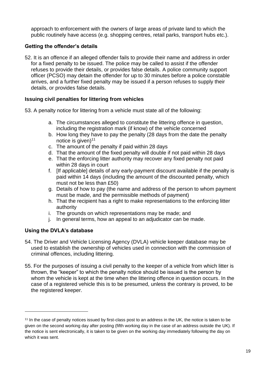approach to enforcement with the owners of large areas of private land to which the public routinely have access (e.g. shopping centres, retail parks, transport hubs etc.).

#### **Getting the offender's details**

52. It is an offence if an alleged offender fails to provide their name and address in order for a fixed penalty to be issued. The police may be called to assist if the offender refuses to provide their details, or provides false details. A police community support officer (PCSO) may detain the offender for up to 30 minutes before a police constable arrives, and a further fixed penalty may be issued if a person refuses to supply their details, or provides false details.

#### **Issuing civil penalties for littering from vehicles**

- 53. A penalty notice for littering from a vehicle must state all of the following:
	- a. The circumstances alleged to constitute the littering offence in question, including the registration mark (if know) of the vehicle concerned
	- b. How long they have to pay the penalty (28 days from the date the penalty notice is given) $11$
	- c. The amount of the penalty if paid within 28 days
	- d. That the amount of the fixed penalty will double if not paid within 28 days
	- e. That the enforcing litter authority may recover any fixed penalty not paid within 28 days in court
	- f. [If applicable] details of any early-payment discount available if the penalty is paid within 14 days (including the amount of the discounted penalty, which must not be less than £50)
	- g. Details of how to pay (the name and address of the person to whom payment must be made, and the permissible methods of payment)
	- h. That the recipient has a right to make representations to the enforcing litter authority
	- i. The grounds on which representations may be made; and
	- j. In general terms, how an appeal to an adjudicator can be made.

#### **Using the DVLA's database**

- 54. The Driver and Vehicle Licensing Agency (DVLA) vehicle keeper database may be used to establish the ownership of vehicles used in connection with the commission of criminal offences, including littering.
- 55. For the purposes of issuing a civil penalty to the keeper of a vehicle from which litter is thrown, the "keeper" to which the penalty notice should be issued is the person by whom the vehicle is kept at the time when the littering offence in question occurs. In the case of a registered vehicle this is to be presumed, unless the contrary is proved, to be the registered keeper.

<sup>&</sup>lt;sup>11</sup> In the case of penalty notices issued by first-class post to an address in the UK, the notice is taken to be given on the second working day after posting (fifth working day in the case of an address outside the UK). If the notice is sent electronically, it is taken to be given on the working day immediately following the day on which it was sent.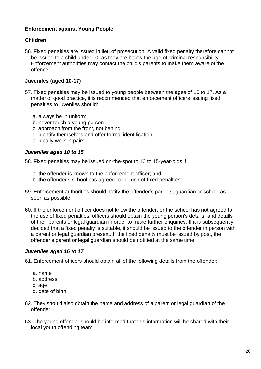#### **Enforcement against Young People**

#### **Children**

56. Fixed penalties are issued in lieu of prosecution. A valid fixed penalty therefore cannot be issued to a child under 10, as they are below the age of criminal responsibility. Enforcement authorities may contact the child's parents to make them aware of the offence.

#### **Juveniles (aged 10-17)**

- 57. Fixed penalties may be issued to young people between the ages of 10 to 17. As a matter of good practice, it is recommended that enforcement officers issuing fixed penalties to juveniles should:
	- a. always be in uniform
	- b. never touch a young person
	- c. approach from the front, not behind
	- d. identify themselves and offer formal identification
	- e. ideally work in pairs

#### *Juveniles aged 10 to 15*

- 58. Fixed penalties may be issued on-the-spot to 10 to 15-year-olds if:
	- a. the offender is known to the enforcement officer; and
	- b. the offender's school has agreed to the use of fixed penalties.
- 59. Enforcement authorities should notify the offender's parents, guardian or school as soon as possible.
- 60. If the enforcement officer does not know the offender, or the school has not agreed to the use of fixed penalties, officers should obtain the young person's details, and details of their parents or legal guardian in order to make further enquiries. If it is subsequently decided that a fixed penalty is suitable, it should be issued to the offender in person with a parent or legal guardian present. If the fixed penalty must be issued by post, the offender's parent or legal guardian should be notified at the same time.

#### *Juveniles aged 16 to 17*

- 61. Enforcement officers should obtain all of the following details from the offender:
	- a. name
	- b. address
	- c. age
	- d. date of birth
- 62. They should also obtain the name and address of a parent or legal guardian of the offender.
- 63. The young offender should be informed that this information will be shared with their local youth offending team.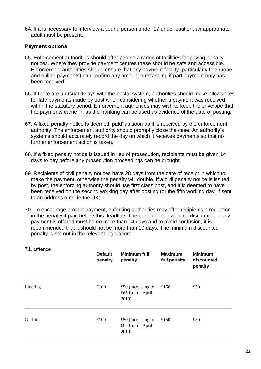64. If it is necessary to interview a young person under 17 under caution, an appropriate adult must be present.

#### **Payment options**

- 65. Enforcement authorities should offer people a range of facilities for paying penalty notices. Where they provide payment centres these should be safe and accessible. Enforcement authorities should ensure that any payment facility (particularly telephone and online payments) can confirm any amount outstanding if part payment only has been received.
- 66. If there are unusual delays with the postal system, authorities should make allowances for late payments made by post when considering whether a payment was received within the statutory period. Enforcement authorities may wish to keep the envelope that the payments came in, as the franking can be used as evidence of the date of posting.
- 67. A fixed penalty notice is deemed 'paid' as soon as it is received by the enforcement authority. The enforcement authority should promptly close the case. An authority's systems should accurately record the day on which it receives payments so that no further enforcement action is taken.
- 68. If a fixed penalty notice is issued in lieu of prosecution, recipients must be given 14 days to pay before any prosecution proceedings can be brought.
- 69. Recipients of civil penalty notices have 28 days from the date of receipt in which to make the payment, otherwise the penalty will double. If a civil penalty notice is issued by post, the enforcing authority should use first class post, and it is deemed to have been received on the second working day after posting (or the fifth working day, if sent to an address outside the UK).
- 70. To encourage prompt payment, enforcing authorities may offer recipients a reduction in the penalty if paid before this deadline. The period during which a discount for early payment is offered must be no more than 14 days and to avoid confusion, it is recommended that it should not be more than 10 days. The minimum discounted penalty is set out in the relevant legislation:

| 71. Offence | <b>Default</b><br>penalty | <b>Minimum full</b><br>penalty                    | <b>Maximum</b><br>full penalty | <b>Minimum</b><br>discounted<br>penalty |
|-------------|---------------------------|---------------------------------------------------|--------------------------------|-----------------------------------------|
| Littering   | £100                      | $£50$ (increasing to<br>£65 from 1 April<br>2019) | £150                           | £50                                     |
| Graffiti    | £100                      | $£50$ (increasing to<br>£65 from 1 April<br>2019) | £150                           | £50                                     |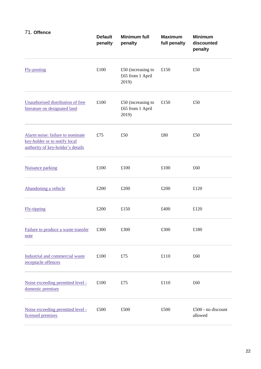| 71. Offence                                                                                            | <b>Default</b><br>penalty | <b>Minimum full</b><br>penalty                    | <b>Maximum</b><br>full penalty | <b>Minimum</b><br>discounted<br>penalty |
|--------------------------------------------------------------------------------------------------------|---------------------------|---------------------------------------------------|--------------------------------|-----------------------------------------|
| <b>Fly-posting</b>                                                                                     | £100                      | $£50$ (increasing to<br>£65 from 1 April<br>2019) | £150                           | £50                                     |
| Unauthorised distribution of free<br>literature on designated land                                     | £100                      | $£50$ (increasing to<br>£65 from 1 April<br>2019) | £150                           | £50                                     |
| Alarm noise: failure to nominate<br>key-holder or to notify local<br>authority of key-holder's details | £75                       | £50                                               | £80                            | £50                                     |
| <b>Nuisance parking</b>                                                                                | £100                      | £100                                              | £100                           | £60                                     |
| Abandoning a vehicle                                                                                   | £200                      | £200                                              | £200                           | £120                                    |
| <b>Fly-tipping</b>                                                                                     | £200                      | £150                                              | £400                           | £120                                    |
| Failure to produce a waste transfer<br>note                                                            | £300                      | £300                                              | £300                           | £180                                    |
| Industrial and commercial waste<br>receptacle offences                                                 | £100                      | £75                                               | £110                           | £60                                     |
| Noise exceeding permitted level -<br>domestic premises                                                 | £100                      | £75                                               | £110                           | £60                                     |
| Noise exceeding permitted level -<br>licensed premises                                                 | £500                      | £500                                              | £500                           | £500 - no discount<br>allowed           |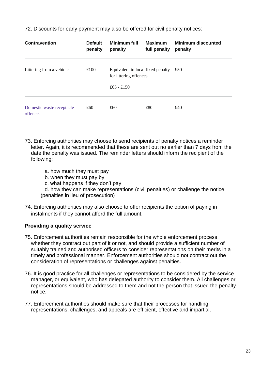72. Discounts for early payment may also be offered for civil penalty notices:

| <b>Contravention</b>                  | <b>Default</b><br>penalty | Minimum full<br>penalty                                     | <b>Maximum</b><br>full penalty | <b>Minimum discounted</b><br>penalty |
|---------------------------------------|---------------------------|-------------------------------------------------------------|--------------------------------|--------------------------------------|
| Littering from a vehicle              | £100                      | Equivalent to local fixed penalty<br>for littering offences |                                | £50                                  |
|                                       |                           | £65 - £150                                                  |                                |                                      |
| Domestic waste receptacle<br>offences | £60                       | £60                                                         | £80                            | £40                                  |

- 73. Enforcing authorities may choose to send recipients of penalty notices a reminder letter. Again, it is recommended that these are sent out no earlier than 7 days from the date the penalty was issued. The reminder letters should inform the recipient of the following:
	- a. how much they must pay
	- b. when they must pay by
	- c. what happens if they don't pay

d. how they can make representations (civil penalties) or challenge the notice (penalties in lieu of prosecution)

74. Enforcing authorities may also choose to offer recipients the option of paying in instalments if they cannot afford the full amount.

#### **Providing a quality service**

- 75. Enforcement authorities remain responsible for the whole enforcement process, whether they contract out part of it or not, and should provide a sufficient number of suitably trained and authorised officers to consider representations on their merits in a timely and professional manner. Enforcement authorities should not contract out the consideration of representations or challenges against penalties.
- 76. It is good practice for all challenges or representations to be considered by the service manager, or equivalent, who has delegated authority to consider them. All challenges or representations should be addressed to them and not the person that issued the penalty notice.
- 77. Enforcement authorities should make sure that their processes for handling representations, challenges, and appeals are efficient, effective and impartial.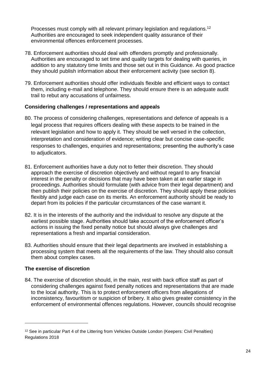Processes must comply with all relevant primary legislation and regulations.<sup>12</sup> Authorities are encouraged to seek independent quality assurance of their environmental offences enforcement processes.

- 78. Enforcement authorities should deal with offenders promptly and professionally. Authorities are encouraged to set time and quality targets for dealing with queries, in addition to any statutory time limits and those set out in this Guidance. As good practice they should publish information about their enforcement activity (see section 8).
- 79. Enforcement authorities should offer individuals flexible and efficient ways to contact them, including e-mail and telephone. They should ensure there is an adequate audit trail to rebut any accusations of unfairness.

#### **Considering challenges / representations and appeals**

- 80. The process of considering challenges, representations and defence of appeals is a legal process that requires officers dealing with these aspects to be trained in the relevant legislation and how to apply it. They should be well versed in the collection, interpretation and consideration of evidence; writing clear but concise case-specific responses to challenges, enquiries and representations; presenting the authority's case to adjudicators.
- 81. Enforcement authorities have a duty not to fetter their discretion. They should approach the exercise of discretion objectively and without regard to any financial interest in the penalty or decisions that may have been taken at an earlier stage in proceedings. Authorities should formulate (with advice from their legal department) and then publish their policies on the exercise of discretion. They should apply these policies flexibly and judge each case on its merits. An enforcement authority should be ready to depart from its policies if the particular circumstances of the case warrant it.
- 82. It is in the interests of the authority and the individual to resolve any dispute at the earliest possible stage. Authorities should take account of the enforcement officer's actions in issuing the fixed penalty notice but should always give challenges and representations a fresh and impartial consideration.
- 83. Authorities should ensure that their legal departments are involved in establishing a processing system that meets all the requirements of the law. They should also consult them about complex cases.

#### **The exercise of discretion**

1

84. The exercise of discretion should, in the main, rest with back office staff as part of considering challenges against fixed penalty notices and representations that are made to the local authority. This is to protect enforcement officers from allegations of inconsistency, favouritism or suspicion of bribery. It also gives greater consistency in the enforcement of environmental offences regulations. However, councils should recognise

<sup>&</sup>lt;sup>12</sup> See in particular Part 4 of the Littering from Vehicles Outside London (Keepers: Civil Penalties) Regulations 2018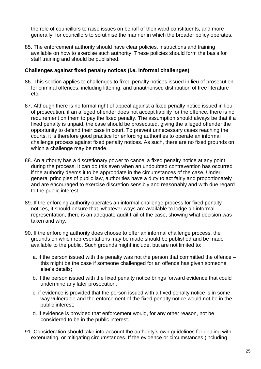the role of councillors to raise issues on behalf of their ward constituents, and more generally, for councillors to scrutinise the manner in which the broader policy operates.

85. The enforcement authority should have clear policies, instructions and training available on how to exercise such authority. These policies should form the basis for staff training and should be published.

#### **Challenges against fixed penalty notices (i.e. informal challenges)**

- 86. This section applies to challenges to fixed penalty notices issued in lieu of prosecution for criminal offences, including littering, and unauthorised distribution of free literature etc.
- 87. Although there is no formal right of appeal against a fixed penalty notice issued in lieu of prosecution, if an alleged offender does not accept liability for the offence, there is no requirement on them to pay the fixed penalty. The assumption should always be that if a fixed penalty is unpaid, the case should be prosecuted, giving the alleged offender the opportunity to defend their case in court. To prevent unnecessary cases reaching the courts, it is therefore good practice for enforcing authorities to operate an informal challenge process against fixed penalty notices. As such, there are no fixed grounds on which a challenge may be made.
- 88. An authority has a discretionary power to cancel a fixed penalty notice at any point during the process. It can do this even when an undoubted contravention has occurred if the authority deems it to be appropriate in the circumstances of the case. Under general principles of public law, authorities have a duty to act fairly and proportionately and are encouraged to exercise discretion sensibly and reasonably and with due regard to the public interest.
- 89. If the enforcing authority operates an informal challenge process for fixed penalty notices, it should ensure that, whatever ways are available to lodge an informal representation, there is an adequate audit trail of the case, showing what decision was taken and why.
- 90. If the enforcing authority does choose to offer an informal challenge process, the grounds on which representations may be made should be published and be made available to the public. Such grounds might include, but are not limited to:
	- a. if the person issued with the penalty was not the person that committed the offence this might be the case if someone challenged for an offence has given someone else's details;
	- b. if the person issued with the fixed penalty notice brings forward evidence that could undermine any later prosecution;
	- c. if evidence is provided that the person issued with a fixed penalty notice is in some way vulnerable and the enforcement of the fixed penalty notice would not be in the public interest;
	- d. if evidence is provided that enforcement would, for any other reason, not be considered to be in the public interest.
- 91. Consideration should take into account the authority's own guidelines for dealing with extenuating, or mitigating circumstances. If the evidence or circumstances (including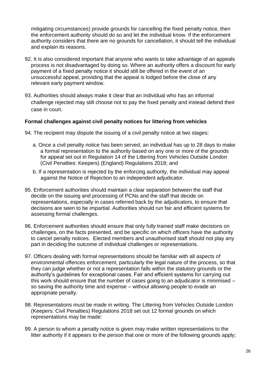mitigating circumstances) provide grounds for cancelling the fixed penalty notice, then the enforcement authority should do so and let the individual know. If the enforcement authority considers that there are no grounds for cancellation, it should tell the individual and explain its reasons.

- 92. It is also considered important that anyone who wants to take advantage of an appeals process is not disadvantaged by doing so. Where an authority offers a discount for early payment of a fixed penalty notice it should still be offered in the event of an unsuccessful appeal, providing that the appeal is lodged before the close of any relevant early payment window.
- 93. Authorities should always make it clear that an individual who has an informal challenge rejected may still choose not to pay the fixed penalty and instead defend their case in court.

#### **Formal challenges against civil penalty notices for littering from vehicles**

- 94. The recipient may dispute the issuing of a civil penalty notice at two stages:
	- a. Once a civil penalty notice has been served, an individual has up to 28 days to make a formal representation to the authority based on any one or more of the grounds for appeal set out in Regulation 14 of the Littering from Vehicles Outside London (Civil Penalties: Keepers) (England) Regulations 2018; and
	- b. If a representation is rejected by the enforcing authority, the individual may appeal against the Notice of Rejection to an independent adjudicator.
- 95. Enforcement authorities should maintain a clear separation between the staff that decide on the issuing and processing of PCNs and the staff that decide on representations, especially in cases referred back by the adjudicators, to ensure that decisions are seen to be impartial. Authorities should run fair and efficient systems for assessing formal challenges.
- 96. Enforcement authorities should ensure that only fully trained staff make decisions on challenges, on the facts presented, and be specific on which officers have the authority to cancel penalty notices. Elected members and unauthorised staff should not play any part in deciding the outcome of individual challenges or representations.
- 97. Officers dealing with formal representations should be familiar with all aspects of environmental offences enforcement, particularly the legal nature of the process, so that they can judge whether or not a representation falls within the statutory grounds or the authority's guidelines for exceptional cases. Fair and efficient systems for carrying out this work should ensure that the number of cases going to an adjudicator is minimised – so saving the authority time and expense – without allowing people to evade an appropriate penalty.
- 98. Representations must be made in writing. The Littering from Vehicles Outside London (Keepers: Civil Penalties) Regulations 2018 set out 12 formal grounds on which representations may be made:
- 99. A person to whom a penalty notice is given may make written representations to the litter authority if it appears to the person that one or more of the following grounds apply;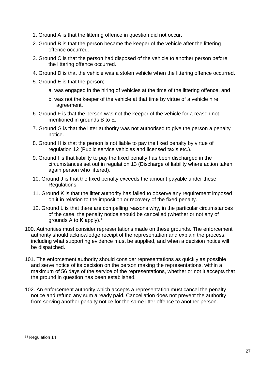- 1. Ground A is that the littering offence in question did not occur.
- 2. Ground B is that the person became the keeper of the vehicle after the littering offence occurred.
- 3. Ground C is that the person had disposed of the vehicle to another person before the littering offence occurred.
- 4. Ground D is that the vehicle was a stolen vehicle when the littering offence occurred.
- 5. Ground E is that the person;
	- a. was engaged in the hiring of vehicles at the time of the littering offence, and
	- b. was not the keeper of the vehicle at that time by virtue of a vehicle hire agreement.
- 6. Ground F is that the person was not the keeper of the vehicle for a reason not mentioned in grounds B to E.
- 7. Ground G is that the litter authority was not authorised to give the person a penalty notice.
- 8. Ground H is that the person is not liable to pay the fixed penalty by virtue of regulation 12 (Public service vehicles and licensed taxis etc.).
- 9. Ground I is that liability to pay the fixed penalty has been discharged in the circumstances set out in regulation 13 (Discharge of liability where action taken again person who littered).
- 10. Ground J is that the fixed penalty exceeds the amount payable under these Regulations.
- 11. Ground K is that the litter authority has failed to observe any requirement imposed on it in relation to the imposition or recovery of the fixed penalty.
- 12. Ground L is that there are compelling reasons why, in the particular circumstances of the case, the penalty notice should be cancelled (whether or not any of grounds A to K apply).  $13$
- 100. Authorities must consider representations made on these grounds. The enforcement authority should acknowledge receipt of the representation and explain the process, including what supporting evidence must be supplied, and when a decision notice will be dispatched.
- 101. The enforcement authority should consider representations as quickly as possible and serve notice of its decision on the person making the representations, within a maximum of 56 days of the service of the representations, whether or not it accepts that the ground in question has been established.
- 102. An enforcement authority which accepts a representation must cancel the penalty notice and refund any sum already paid. Cancellation does not prevent the authority from serving another penalty notice for the same litter offence to another person.

<sup>&</sup>lt;sup>13</sup> Regulation 14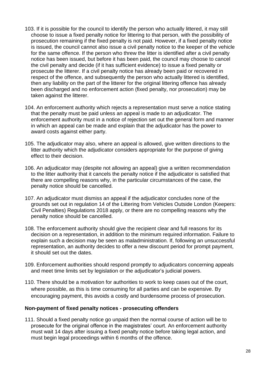- 103. If it is possible for the council to identify the person who actually littered, it may still choose to issue a fixed penalty notice for littering to that person, with the possibility of prosecution remaining if the fixed penalty is not paid. However, if a fixed penalty notice is issued, the council cannot also issue a civil penalty notice to the keeper of the vehicle for the same offence. If the person who threw the litter is identified after a civil penalty notice has been issued, but before it has been paid, the council may choose to cancel the civil penalty and decide (if it has sufficient evidence) to issue a fixed penalty or prosecute the litterer. If a civil penalty notice has already been paid or recovered in respect of the offence, and subsequently the person who actually littered is identified, then any liability on the part of the litterer for the original littering offence has already been discharged and no enforcement action (fixed penalty, nor prosecution) may be taken against the litterer.
- 104. An enforcement authority which rejects a representation must serve a notice stating that the penalty must be paid unless an appeal is made to an adjudicator. The enforcement authority must in a notice of rejection set out the general form and manner in which an appeal can be made and explain that the adjudicator has the power to award costs against either party.
- 105. The adjudicator may also, where an appeal is allowed, give written directions to the litter authority which the adjudicator considers appropriate for the purpose of giving effect to their decision.
- 106. An adjudicator may (despite not allowing an appeal) give a written recommendation to the litter authority that it cancels the penalty notice if the adjudicator is satisfied that there are compelling reasons why, in the particular circumstances of the case, the penalty notice should be cancelled.
- 107. An adjudicator must dismiss an appeal if the adjudicator concludes none of the grounds set out in regulation 14 of the Littering from Vehicles Outside London (Keepers: Civil Penalties) Regulations 2018 apply, or there are no compelling reasons why the penalty notice should be cancelled.
- 108. The enforcement authority should give the recipient clear and full reasons for its decision on a representation, in addition to the minimum required information. Failure to explain such a decision may be seen as maladministration. If, following an unsuccessful representation, an authority decides to offer a new discount period for prompt payment, it should set out the dates.
- 109. Enforcement authorities should respond promptly to adjudicators concerning appeals and meet time limits set by legislation or the adjudicator's judicial powers.
- 110. There should be a motivation for authorities to work to keep cases out of the court, where possible, as this is time consuming for all parties and can be expensive. By encouraging payment, this avoids a costly and burdensome process of prosecution.

#### **Non-payment of fixed penalty notices - prosecuting offenders**

111. Should a fixed penalty notice go unpaid then the normal course of action will be to prosecute for the original offence in the magistrates' court. An enforcement authority must wait 14 days after issuing a fixed penalty notice before taking legal action, and must begin legal proceedings within 6 months of the offence.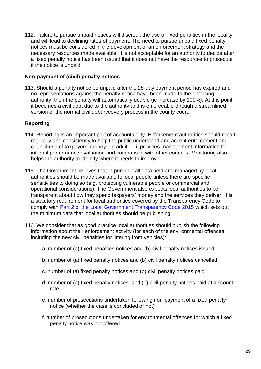112. Failure to pursue unpaid notices will discredit the use of fixed penalties in the locality, and will lead to declining rates of payment. The need to pursue unpaid fixed penalty notices must be considered in the development of an enforcement strategy and the necessary resources made available. It is not acceptable for an authority to decide after a fixed penalty notice has been issued that it does not have the resources to prosecute if the notice is unpaid.

#### **Non-payment of (civil) penalty notices**

113. Should a penalty notice be unpaid after the 28-day payment period has expired and no representations against the penalty notice have been made to the enforcing authority, then the penalty will automatically double (ie increase by 100%). At this point, it becomes a civil debt due to the authority and is enforceable through a streamlined version of the normal civil debt recovery process in the county court.

#### **Reporting**

- 114. Reporting is an important part of accountability. Enforcement authorities should report regularly and consistently to help the public understand and accept enforcement and council use of taxpayers' money. In addition it provides management information for internal performance evaluation and comparison with other councils. Monitoring also helps the authority to identify where it needs to improve.
- 115. The Government believes that in principle all data held and managed by local authorities should be made available to local people unless there are specific sensitivities to doing so (e.g. protecting vulnerable people or commercial and operational considerations). The Government also expects local authorities to be transparent about how they spend taxpayers' money and the services they deliver. It is a statutory requirement for local authorities covered by the Transparency Code to comply with [Part 2 of the Local Government Transparency Code 2015](https://www.gov.uk/government/publications/local-government-transparency-code-2015) which sets out the minimum data that local authorities should be publishing.
- 116. We consider that as good practice local authorities should publish the following information about their enforcement activity (for each of the environmental offences, including the new civil penalties for littering from vehicles):
	- a. number of (a) fixed penalties notices and (b) civil penalty notices issued
	- b. number of (a) fixed penalty notices and (b) civil penalty notices cancelled
	- c. number of (a) fixed penalty notices and (b) civil penalty notices paid
	- d. number of (a) fixed penalty notices and (b) civil penalty notices paid at discount rate
	- e. number of prosecutions undertaken following non-payment of a fixed penalty notice (whether the case is concluded or not)
	- f. number of prosecutions undertaken for environmental offences for which a fixed penalty notice was not offered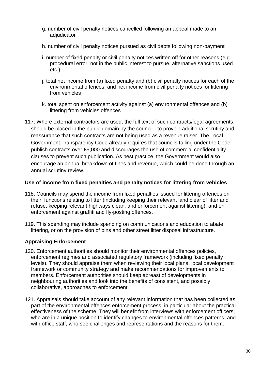- g. number of civil penalty notices cancelled following an appeal made to an adjudicator
- h. number of civil penalty notices pursued as civil debts following non-payment
- i. number of fixed penalty or civil penalty notices written off for other reasons (e.g. procedural error, not in the public interest to pursue, alternative sanctions used etc.)
- j. total net income from (a) fixed penalty and (b) civil penalty notices for each of the environmental offences, and net income from civil penalty notices for littering from vehicles
- k. total spent on enforcement activity against (a) environmental offences and (b) littering from vehicles offences
- 117. Where external contractors are used, the full text of such contracts/legal agreements, should be placed in the public domain by the council - to provide additional scrutiny and reassurance that such contracts are not being used as a revenue raiser. The Local Government Transparency Code already requires that councils falling under the Code publish contracts over £5,000 and discourages the use of commercial confidentiality clauses to prevent such publication. As best practice, the Government would also encourage an annual breakdown of fines and revenue, which could be done through an annual scrutiny review.

#### **Use of income from fixed penalties and penalty notices for littering from vehicles**

- 118. Councils may spend the income from fixed penalties issued for littering offences on their functions relating to litter (including keeping their relevant land clear of litter and refuse, keeping relevant highways clean, and enforcement against littering), and on enforcement against graffiti and fly-posting offences.
- 119. This spending may include spending on communications and education to abate littering, or on the provision of bins and other street litter disposal infrastructure.

#### **Appraising Enforcement**

- 120. Enforcement authorities should monitor their environmental offences policies, enforcement regimes and associated regulatory framework (including fixed penalty levels). They should appraise them when reviewing their local plans, local development framework or community strategy and make recommendations for improvements to members. Enforcement authorities should keep abreast of developments in neighbouring authorities and look into the benefits of consistent, and possibly collaborative, approaches to enforcement.
- 121. Appraisals should take account of any relevant information that has been collected as part of the environmental offences enforcement process, in particular about the practical effectiveness of the scheme. They will benefit from interviews with enforcement officers, who are in a unique position to identify changes to environmental offences patterns, and with office staff, who see challenges and representations and the reasons for them.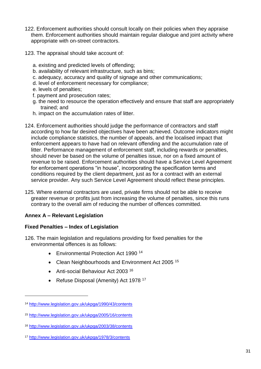- 122. Enforcement authorities should consult locally on their policies when they appraise them. Enforcement authorities should maintain regular dialogue and joint activity where appropriate with on-street contractors.
- 123. The appraisal should take account of:
	- a. existing and predicted levels of offending;
	- b. availability of relevant infrastructure, such as bins;
	- c. adequacy, accuracy and quality of signage and other communications;
	- d. level of enforcement necessary for compliance;
	- e. levels of penalties;
	- f. payment and prosecution rates;
	- g. the need to resource the operation effectively and ensure that staff are appropriately trained; and
	- h. impact on the accumulation rates of litter.
- 124. Enforcement authorities should judge the performance of contractors and staff according to how far desired objectives have been achieved. Outcome indicators might include compliance statistics, the number of appeals, and the localised impact that enforcement appears to have had on relevant offending and the accumulation rate of litter. Performance management of enforcement staff, including rewards or penalties, should never be based on the volume of penalties issue, nor on a fixed amount of revenue to be raised. Enforcement authorities should have a Service Level Agreement for enforcement operations "in house", incorporating the specification terms and conditions required by the client department, just as for a contract with an external service provider. Any such Service Level Agreement should reflect these principles.
- 125. Where external contractors are used, private firms should not be able to receive greater revenue or profits just from increasing the volume of penalties, since this runs contrary to the overall aim of reducing the number of offences committed.

#### **Annex A – Relevant Legislation**

1

#### **Fixed Penalties – Index of Legislation**

- 126. The main legislation and regulations providing for fixed penalties for the environmental offences is as follows:
	- Environmental Protection Act 1990<sup>14</sup>
	- Clean Neighbourhoods and Environment Act 2005<sup>15</sup>
	- Anti-social Behaviour Act 2003<sup>16</sup>
	- Refuse Disposal (Amenity) Act 1978<sup>17</sup>

<sup>14</sup> <http://www.legislation.gov.uk/ukpga/1990/43/contents>

<sup>15</sup> <http://www.legislation.gov.uk/ukpga/2005/16/contents>

<sup>16</sup> <http://www.legislation.gov.uk/ukpga/2003/38/contents>

<sup>17</sup> <http://www.legislation.gov.uk/ukpga/1978/3/contents>